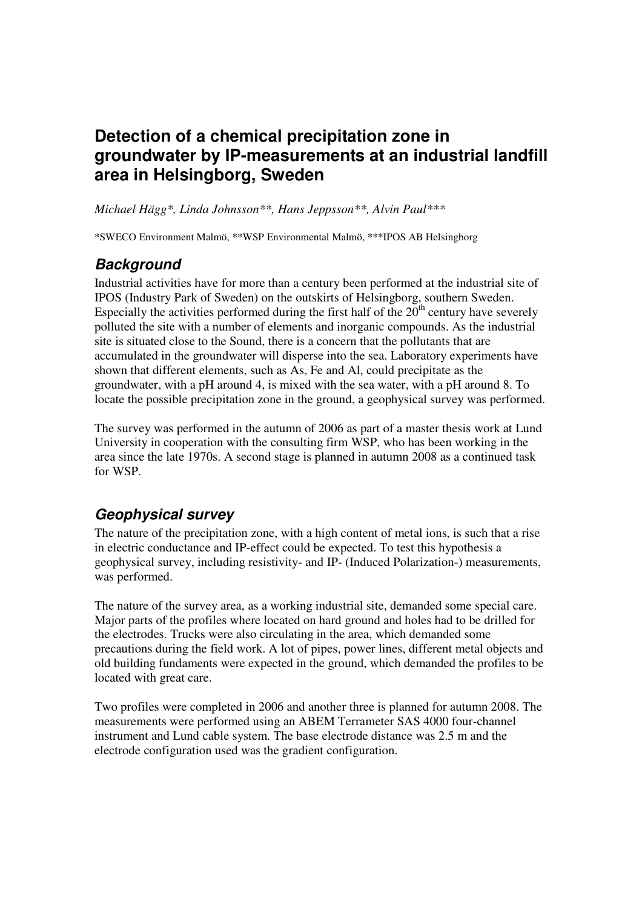# **Detection of a chemical precipitation zone in groundwater by IP-measurements at an industrial landfill area in Helsingborg, Sweden**

*Michael Hägg\*, Linda Johnsson\*\*, Hans Jeppsson\*\*, Alvin Paul\*\*\** 

\*SWECO Environment Malmö, \*\*WSP Environmental Malmö, \*\*\*IPOS AB Helsingborg

# **Background**

Industrial activities have for more than a century been performed at the industrial site of IPOS (Industry Park of Sweden) on the outskirts of Helsingborg, southern Sweden. Especially the activities performed during the first half of the  $20<sup>th</sup>$  century have severely polluted the site with a number of elements and inorganic compounds. As the industrial site is situated close to the Sound, there is a concern that the pollutants that are accumulated in the groundwater will disperse into the sea. Laboratory experiments have shown that different elements, such as As, Fe and Al, could precipitate as the groundwater, with a pH around 4, is mixed with the sea water, with a pH around 8. To locate the possible precipitation zone in the ground, a geophysical survey was performed.

The survey was performed in the autumn of 2006 as part of a master thesis work at Lund University in cooperation with the consulting firm WSP, who has been working in the area since the late 1970s. A second stage is planned in autumn 2008 as a continued task for WSP.

# **Geophysical survey**

The nature of the precipitation zone, with a high content of metal ions, is such that a rise in electric conductance and IP-effect could be expected. To test this hypothesis a geophysical survey, including resistivity- and IP- (Induced Polarization-) measurements, was performed.

The nature of the survey area, as a working industrial site, demanded some special care. Major parts of the profiles where located on hard ground and holes had to be drilled for the electrodes. Trucks were also circulating in the area, which demanded some precautions during the field work. A lot of pipes, power lines, different metal objects and old building fundaments were expected in the ground, which demanded the profiles to be located with great care.

Two profiles were completed in 2006 and another three is planned for autumn 2008. The measurements were performed using an ABEM Terrameter SAS 4000 four-channel instrument and Lund cable system. The base electrode distance was 2.5 m and the electrode configuration used was the gradient configuration.